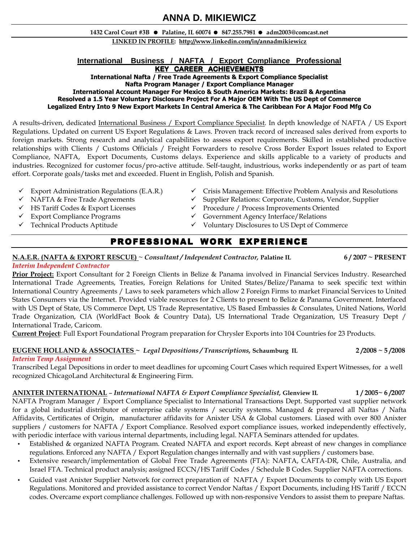# **ANNA D. MIKIEWICZ**

### 1432 Carol Court #3B Palatine, IL 60074 847.255.7981 adm2003@comcast.net

LINKED IN PROFILE: http://www.linkedin.com/in/annadmikiewicz

# **International Business / NAFTA / Export Compliance Professional**

**KEY CAREER ACHIEVEMENTS** 

International Nafta / Free Trade Agreements & Export Compliance Specialist Nafta Program Manager / Export Compliance Manager International Account Manager For Mexico & South America Markets: Brazil & Argentina Resolved a 1.5 Year Voluntary Disclosure Project For A Major OEM With The US Dept of Commerce Legalized Entry Into 9 New Export Markets In Central America & The Caribbean For A Major Food Mfg Co

A results-driven, dedicated International Business / Export Compliance Specialist. In depth knowledge of NAFTA / US Export Regulations. Updated on current US Export Regulations & Laws. Proven track record of increased sales derived from exports to foreign markets. Strong research and analytical capabilities to assess export requirements. Skilled in established productive relationships with Clients / Customs Officials / Freight Forwarders to resolve Cross Border Export Issues related to Export Compliance, NAFTA, Export Documents, Customs delays. Experience and skills applicable to a variety of products and industries. Recognized for customer focus/pro-active attitude. Self-taught, industrious, works independently or as part of team effort. Corporate goals/tasks met and exceeded. Fluent in English, Polish and Spanish.

- 
- 
- 
- 
- 
- $\checkmark$  Export Administration Regulations (E.A.R.)  $\checkmark$  Crisis Management: Effective Problem Analysis and Resolutions
- √ NAFTA & Free Trade Agreements < Supplier Relations: Corporate, Customs, Vendor, Supplier
- ◆ HS Tariff Codes & Export Licenses <br>
→ Procedure / Process Improvements Oriented<br>
→ Export Compliance Programs → Government Agency Interface/Relations
	- $\checkmark$  Government Agency Interface/Relations
- Technical Products Aptitude Voluntary Disclosures to US Dept of Commerce

# PROFESSIONAL WORK EXPERIENCE

### N.A.E.R. (NAFTA & EXPORT RESCUE) ~ Consultant / Independent Contractor, Palatine IL 6 / 2007 ~ PRESENT Interim Independent Contractor

**Prior Project:** Export Consultant for 2 Foreign Clients in Belize & Panama involved in Financial Services Industry. Researched International Trade Agreements, Treaties, Foreign Relations for United States/Belize/Panama to seek specific text within International Country Agreements / Laws to seek parameters which allow 2 Foreign Firms to market Financial Services to United States Consumers via the Internet. Provided viable resources for 2 Clients to present to Belize & Panama Government. Interfaced with US Dept of State, US Commerce Dept, US Trade Representative, US Based Embassies & Consulates, United Nations, World Trade Organization, CIA (WorldFact Book & Country Data), US International Trade Organization, US Treasury Dept / International Trade, Caricom.

Current Project: Full Export Foundational Program preparation for Chrysler Exports into 104 Countries for 23 Products.

### EUGENE HOLLAND & ASSOCIATES ~ Legal Depositions / Transcriptions, Schaumburg IL  $2/2008 \sim 5/2008$ Interim Temp Assignment

Transcribed Legal Depositions in order to meet deadlines for upcoming Court Cases which required Expert Witnesses, for a well recognized ChicagoLand Architectural & Engineering Firm.

# ANIXTER INTERNATIONAL – International NAFTA & Export Compliance Specialist, Glenview IL  $1/2005 \sim 6/2007$

NAFTA Program Manager / Export Compliance Specialist to International Transactions Dept. Supported vast supplier network for a global industrial distributor of enterprise cable systems / security systems. Managed & prepared all Naftas / Nafta Affidavits, Certificates of Origin, manufacturer affidavits for Anixter USA & Global customers. Liased with over 800 Anixter suppliers / customers for NAFTA / Export Compliance. Resolved export compliance issues, worked independently effectively, with periodic interface with various internal departments, including legal. NAFTA Seminars attended for updates.

- Established & organized NAFTA Program. Created NAFTA and export records. Kept abreast of new changes in compliance regulations. Enforced any NAFTA / Export Regulation changes internally and with vast suppliers / customers base.
- Extensive research/implementation of Global Free Trade Agreements (FTA): NAFTA, CAFTA-DR, Chile, Australia, and Israel FTA. Technical product analysis; assigned ECCN/HS Tariff Codes / Schedule B Codes. Supplier NAFTA corrections.
- Guided vast Anixter Supplier Network for correct preparation of NAFTA / Export Documents to comply with US Export Regulations. Monitored and provided assistance to correct Vendor Naftas / Export Documents, including HS Tariff / ECCN codes. Overcame export compliance challenges. Followed up with non-responsive Vendors to assist them to prepare Naftas.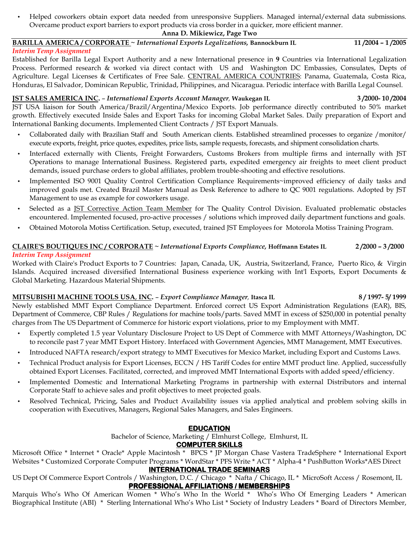• Helped coworkers obtain export data needed from unresponsive Suppliers. Managed internal/external data submissions. Overcame product export barriers to export products via cross border in a quicker, more efficient manner.

### Anna D. Mikiewicz, Page Two

# BARILLA AMERICA / CORPORATE ~ International Exports Legalizations, Bannockburn IL 11 /2004 - 1 /2005

Interim Temp Assignment Established for Barilla Legal Export Authority and a new International presence in 9 Countries via International Legalization Process. Performed research & worked via direct contact with US and Washington DC Embassies, Consulates, Depts of Agriculture. Legal Licenses & Certificates of Free Sale. CENTRAL AMERICA COUNTRIES: Panama, Guatemala, Costa Rica, Honduras, El Salvador, Dominican Republic, Trinidad, Philippines, and Nicaragua. Periodic interface with Barilla Legal Counsel.

### JST SALES AMERICA INC. – International Exports Account Manager, Waukegan IL 3 /2000- 10 /2004

JST USA liaison for South America/Brazil/Argentina/Mexico Exports. Job performance directly contributed to 50% market growth. Effectively executed Inside Sales and Export Tasks for incoming Global Market Sales. Daily preparation of Export and International Banking documents. Implemented Client Contracts / JST Export Manuals.

- Collaborated daily with Brazilian Staff and South American clients. Established streamlined processes to organize /monitor/ execute exports, freight, price quotes, expedites, price lists, sample requests, forecasts, and shipment consolidation charts.
- Interfaced externally with Clients, Freight Forwarders, Customs Brokers from multiple firms and internally with JST Operations to manage International Business. Registered parts, expedited emergency air freights to meet client product demands, issued purchase orders to global affiliates, problem trouble-shooting and effective resolutions.
- Implemented ISO 9001 Quality Control Certification Compliance Requirements~improved efficiency of daily tasks and improved goals met. Created Brazil Master Manual as Desk Reference to adhere to QC 9001 regulations. Adopted by JST Management to use as example for coworkers usage.
- Selected as a JST Corrective Action Team Member for The Quality Control Division. Evaluated problematic obstacles encountered. Implemented focused, pro-active processes / solutions which improved daily department functions and goals.
- Obtained Motorola Motiss Certification. Setup, executed, trained JST Employees for Motorola Motiss Training Program.

# CLAIRE'S BOUTIQUES INC / CORPORATE ~ International Exports Compliance, Hoffmann Estates IL 2/2000 - 3/2000 Interim Temp Assignment

Worked with Claire's Product Exports to 7 Countries: Japan, Canada, UK, Austria, Switzerland, France, Puerto Rico, & Virgin Islands. Acquired increased diversified International Business experience working with Int'l Exports, Export Documents & Global Marketing. Hazardous Material Shipments.

# MITSUBISHI MACHINE TOOLS USA, INC. - Export Compliance Manager, Itasca IL 8/1997- 5/ 1999- 5/ 1999

Newly established MMT Export Compliance Department. Enforced correct US Export Administration Regulations (EAR), BIS, Department of Commerce, CBP Rules / Regulations for machine tools/parts. Saved MMT in excess of \$250,000 in potential penalty charges from The US Department of Commerce for historic export violations, prior to my Employment with MMT.

- Expertly completed 1.5 year Voluntary Disclosure Project to US Dept of Commerce with MMT Attorneys/Washington, DC to reconcile past 7 year MMT Export History. Interfaced with Government Agencies, MMT Management, MMT Executives.
- Introduced NAFTA research/export strategy to MMT Executives for Mexico Market, including Export and Customs Laws.
- Technical Product analysis for Export Licenses, ECCN / HS Tariff Codes for entire MMT product line. Applied, successfully obtained Export Licenses. Facilitated, corrected, and improved MMT International Exports with added speed/efficiency.
- Implemented Domestic and International Marketing Programs in partnership with external Distributors and internal Corporate Staff to achieve sales and profit objectives to meet projected goals.
- Resolved Technical, Pricing, Sales and Product Availability issues via applied analytical and problem solving skills in cooperation with Executives, Managers, Regional Sales Managers, and Sales Engineers.

# **EDUCATION**

Bachelor of Science, Marketing / Elmhurst College, Elmhurst, IL

# **COMPUTER SKILLS**

Microsoft Office \* Internet \* Oracle\* Apple Macintosh \* BPCS \* JP Morgan Chase Vastera TradeSphere \* International Export Websites \* Customized Corporate Computer Programs \* WordStar \* PFS Write \* ACT \* Alpha-4 \* PushButton Works\*AES Direct

# **INTERNATIONAL TRADE SEMINARS**

US Dept Of Commerce Export Controls / Washington, D.C. / Chicago \* Nafta / Chicago, IL \* MicroSoft Access / Rosemont, IL **PROFESSIONAL AFFILIATIONS / MEMBERSHIPS** 

Marquis Who's Who Of American Women \* Who's Who In the World \* Who's Who Of Emerging Leaders \* American Biographical Institute (ABI) \* Sterling International Who's Who List \* Society of Industry Leaders \* Board of Directors Member,